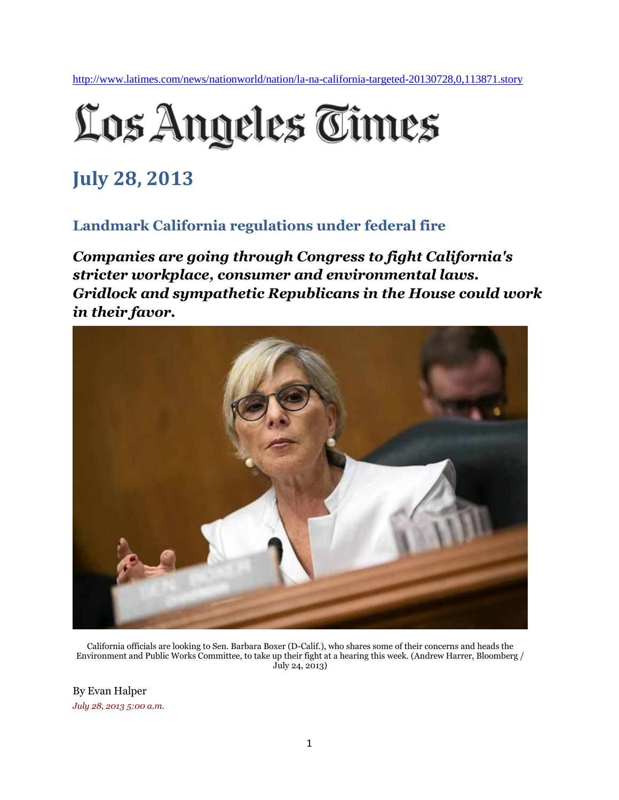<http://www.latimes.com/news/nationworld/nation/la-na-california-targeted-20130728,0,113871.story>

## Los Angeles Times

## **July 28, 2013**

## **Landmark California regulations under federal fire**

*Companies are going through Congress to fight California's stricter workplace, consumer and environmental laws. Gridlock and sympathetic Republicans in the House could work in their favor.*



California officials are looking to Sen. Barbara Boxer (D-Calif.), who shares some of their concerns and heads the Environment and Public Works Committee, to take up their fight at a hearing this week. (Andrew Harrer, Bloomberg / July 24, 2013)

By Evan Halper *July 28, 2013, 5:00 a.m.*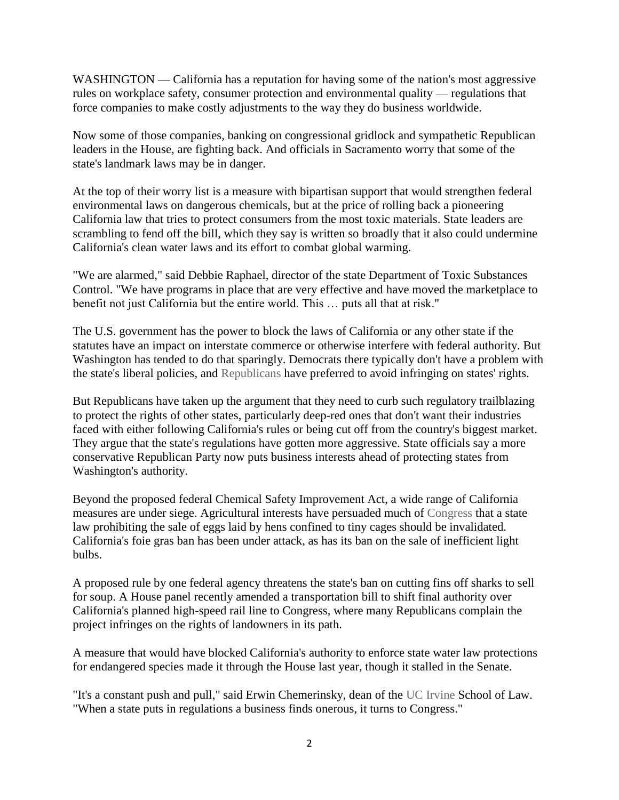WASHINGTON — California has a reputation for having some of the nation's most aggressive rules on workplace safety, consumer protection and environmental quality — regulations that force companies to make costly adjustments to the way they do business worldwide.

Now some of those companies, banking on congressional gridlock and sympathetic Republican leaders in the House, are fighting back. And officials in Sacramento worry that some of the state's landmark laws may be in danger.

At the top of their worry list is a measure with bipartisan support that would strengthen federal environmental laws on dangerous chemicals, but at the price of rolling back a pioneering California law that tries to protect consumers from the most toxic materials. State leaders are scrambling to fend off the bill, which they say is written so broadly that it also could undermine California's clean water laws and its effort to combat global warming.

"We are alarmed," said Debbie Raphael, director of the state Department of Toxic Substances Control. "We have programs in place that are very effective and have moved the marketplace to benefit not just California but the entire world. This … puts all that at risk."

The U.S. government has the power to block the laws of California or any other state if the statutes have an impact on interstate commerce or otherwise interfere with federal authority. But Washington has tended to do that sparingly. Democrats there typically don't have a problem with the state's liberal policies, and [Republicans](http://www.latimes.com/topic/politics/parties-movements/republican-party-ORGOV0000004.topic) have preferred to avoid infringing on states' rights.

But Republicans have taken up the argument that they need to curb such regulatory trailblazing to protect the rights of other states, particularly deep-red ones that don't want their industries faced with either following California's rules or being cut off from the country's biggest market. They argue that the state's regulations have gotten more aggressive. State officials say a more conservative Republican Party now puts business interests ahead of protecting states from Washington's authority.

Beyond the proposed federal Chemical Safety Improvement Act, a wide range of California measures are under siege. Agricultural interests have persuaded much of [Congress](http://www.latimes.com/topic/politics/government/u.s.-congress-ORGOV0000131.topic) that a state law prohibiting the sale of eggs laid by hens confined to tiny cages should be invalidated. California's foie gras ban has been under attack, as has its ban on the sale of inefficient light bulbs.

A proposed rule by one federal agency threatens the state's ban on cutting fins off sharks to sell for soup. A House panel recently amended a transportation bill to shift final authority over California's planned high-speed rail line to Congress, where many Republicans complain the project infringes on the rights of landowners in its path.

A measure that would have blocked California's authority to enforce state water law protections for endangered species made it through the House last year, though it stalled in the Senate.

"It's a constant push and pull," said Erwin Chemerinsky, dean of the [UC Irvine](http://www.latimes.com/topic/education/colleges-universities/university-of-california-irvine-OREDU00000198.topic) School of Law. "When a state puts in regulations a business finds onerous, it turns to Congress."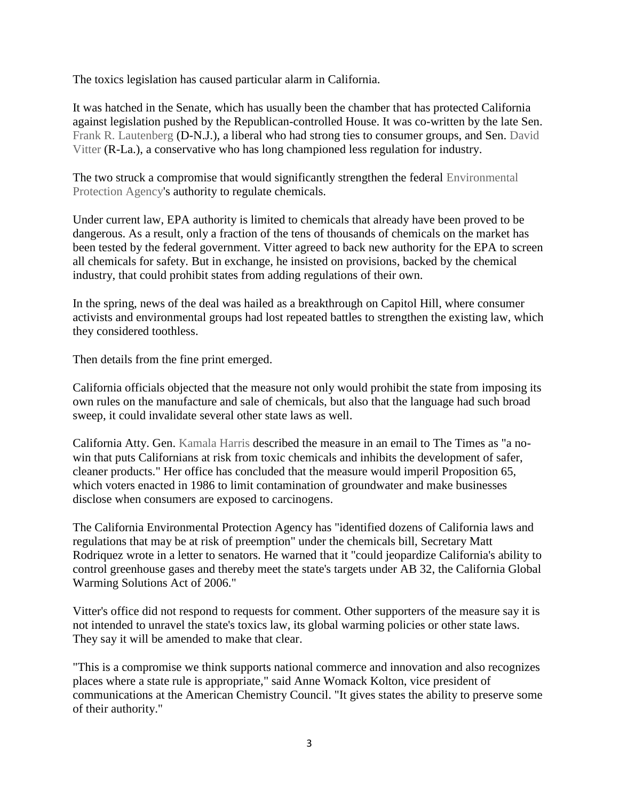The toxics legislation has caused particular alarm in California.

It was hatched in the Senate, which has usually been the chamber that has protected California against legislation pushed by the Republican-controlled House. It was co-written by the late Sen. [Frank R. Lautenberg](http://www.latimes.com/topic/politics/government/frank-lautenberg-PEPLT000007576.topic) (D-N.J.), a liberal who had strong ties to consumer groups, and Sen. [David](http://www.latimes.com/topic/politics/government/david-vitter-PEPLT006831.topic)  [Vitter](http://www.latimes.com/topic/politics/government/david-vitter-PEPLT006831.topic) (R-La.), a conservative who has long championed less regulation for industry.

The two struck a compromise that would significantly strengthen the federal [Environmental](http://www.latimes.com/topic/environmental-issues/u.s.-environmental-protection-agency-ORGOV000048.topic)  [Protection Agency's](http://www.latimes.com/topic/environmental-issues/u.s.-environmental-protection-agency-ORGOV000048.topic) authority to regulate chemicals.

Under current law, EPA authority is limited to chemicals that already have been proved to be dangerous. As a result, only a fraction of the tens of thousands of chemicals on the market has been tested by the federal government. Vitter agreed to back new authority for the EPA to screen all chemicals for safety. But in exchange, he insisted on provisions, backed by the chemical industry, that could prohibit states from adding regulations of their own.

In the spring, news of the deal was hailed as a breakthrough on Capitol Hill, where consumer activists and environmental groups had lost repeated battles to strengthen the existing law, which they considered toothless.

Then details from the fine print emerged.

California officials objected that the measure not only would prohibit the state from imposing its own rules on the manufacture and sale of chemicals, but also that the language had such broad sweep, it could invalidate several other state laws as well.

California Atty. Gen. [Kamala Harris](http://www.latimes.com/topic/politics/government/kamala-d.-harris-PEPLT00008198.topic) described the measure in an email to The Times as "a nowin that puts Californians at risk from toxic chemicals and inhibits the development of safer, cleaner products." Her office has concluded that the measure would imperil Proposition 65, which voters enacted in 1986 to limit contamination of groundwater and make businesses disclose when consumers are exposed to carcinogens.

The California Environmental Protection Agency has "identified dozens of California laws and regulations that may be at risk of preemption" under the chemicals bill, Secretary Matt Rodriquez wrote in a letter to senators. He warned that it "could jeopardize California's ability to control greenhouse gases and thereby meet the state's targets under AB 32, the California Global Warming Solutions Act of 2006."

Vitter's office did not respond to requests for comment. Other supporters of the measure say it is not intended to unravel the state's toxics law, its global warming policies or other state laws. They say it will be amended to make that clear.

"This is a compromise we think supports national commerce and innovation and also recognizes places where a state rule is appropriate," said Anne Womack Kolton, vice president of communications at the American Chemistry Council. "It gives states the ability to preserve some of their authority."